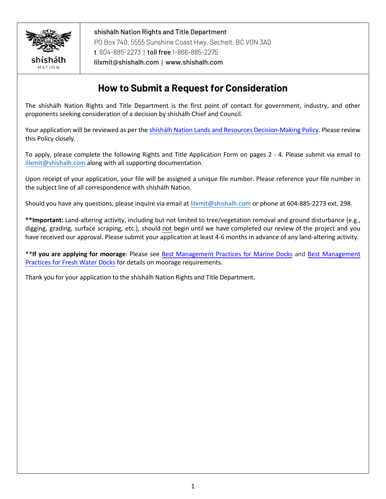

shíshálh Nation Rights and Title Department PO Box 740, 5555 Sunshine Coast Hwy, Sechelt, BC V0N 3A0 t 604-885-2273 | toll free 1-866-885-2275 [lilxmit@shishalh.com](mailto:lilxmit@shishalh.com) | [www.shishalh.com](http://www.shishalh.com/) 

## **How to Submit a Request for Consideration**

The shíshálh Nation Rights and Title Department is the first point of contact for government, industry, and other proponents seeking consideration of a decision by shíshálh Chief and Council.

Your application will be reviewed as per the shishálh Nation Lands and Resources [Decision-Making](https://shishalh.com/wp-content/uploads/2018/10/Decision-Making-Policy.pdf) Policy. Please review this Policy closely.

To apply, please complete the following Rights and Title Application Form on pages 2 - 4. Please submit via email to [lilxmit@shishalh.com](mailto:lilxmit@shishalh.com) along with all supporting documentation.

Upon receipt of your application, your file will be assigned a unique file number. Please reference your file number in the subject line of all correspondence with shíshálh Nation.

Should you have any questions, please inquire via email at [lilxmit@shishalh.com](mailto:lilxmit@shishalh.com) or phone at 604-885-2273 ext. 298.

**\*\*Important:** Land-altering activity, including but not limited to tree/vegetation removal and ground disturbance (e.g., digging, grading, surface scraping, etc.), should not begin until we have completed our review of the project and you have received our approval. Please submit your application at least 4-6 months in advance of any land-altering activity.

\*\***If you are applying for moorage**: Please see Best [Management](https://shishalh.com/wp-content/uploads/2018/10/BMPs_marine_docks_Update_Final_27Jun18.pdf) Practices for Marine Docks and [Best Management](https://shishalh.com/wp-content/uploads/2018/10/BMPs_freshwater_docks_Update_FINAL_27Jun18.pdf)  [Practices for Fresh Water](https://shishalh.com/wp-content/uploads/2018/10/BMPs_freshwater_docks_Update_FINAL_27Jun18.pdf) Docks for details on moorage requirements.

Thank you for your application to the shíshálh Nation Rights and Title Department.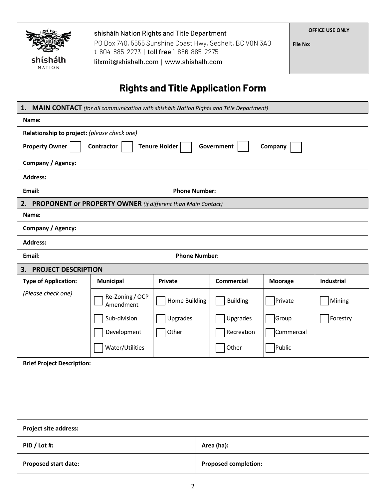| shishalh<br>NATION                                                                       | shishalh Nation Rights and Title Department<br>PO Box 740, 5555 Sunshine Coast Hwy, Sechelt, BC VON 3A0<br>t 604-885-2273   toll free 1-866-885-2275<br>lilxmit@shishalh.com   www.shishalh.com |                      |                             | <b>OFFICE USE ONLY</b><br><b>File No:</b> |                   |  |  |
|------------------------------------------------------------------------------------------|-------------------------------------------------------------------------------------------------------------------------------------------------------------------------------------------------|----------------------|-----------------------------|-------------------------------------------|-------------------|--|--|
| <b>Rights and Title Application Form</b>                                                 |                                                                                                                                                                                                 |                      |                             |                                           |                   |  |  |
| 1. MAIN CONTACT (for all communication with shishalh Nation Rights and Title Department) |                                                                                                                                                                                                 |                      |                             |                                           |                   |  |  |
| Name:                                                                                    |                                                                                                                                                                                                 |                      |                             |                                           |                   |  |  |
| Relationship to project: (please check one)                                              |                                                                                                                                                                                                 |                      |                             |                                           |                   |  |  |
| <b>Property Owner</b><br><b>Tenure Holder</b><br>Contractor<br>Government<br>Company     |                                                                                                                                                                                                 |                      |                             |                                           |                   |  |  |
| Company / Agency:                                                                        |                                                                                                                                                                                                 |                      |                             |                                           |                   |  |  |
| <b>Address:</b>                                                                          |                                                                                                                                                                                                 |                      |                             |                                           |                   |  |  |
| <b>Phone Number:</b><br>Email:                                                           |                                                                                                                                                                                                 |                      |                             |                                           |                   |  |  |
|                                                                                          | 2. PROPONENT or PROPERTY OWNER (if different than Main Contact)                                                                                                                                 |                      |                             |                                           |                   |  |  |
| Name:                                                                                    |                                                                                                                                                                                                 |                      |                             |                                           |                   |  |  |
| Company / Agency:                                                                        |                                                                                                                                                                                                 |                      |                             |                                           |                   |  |  |
| <b>Address:</b>                                                                          |                                                                                                                                                                                                 |                      |                             |                                           |                   |  |  |
| Email:                                                                                   |                                                                                                                                                                                                 | <b>Phone Number:</b> |                             |                                           |                   |  |  |
| <b>PROJECT DESCRIPTION</b><br>3.                                                         |                                                                                                                                                                                                 |                      |                             |                                           |                   |  |  |
| <b>Type of Application:</b>                                                              | <b>Municipal</b>                                                                                                                                                                                | <b>Private</b>       | <b>Commercial</b>           | <b>Moorage</b>                            | <b>Industrial</b> |  |  |
| (Please check one)                                                                       | Re-Zoning / OCP<br>┙<br>Amendment                                                                                                                                                               | Home Building        | <b>Building</b>             | Private                                   | Mining            |  |  |
|                                                                                          | Sub-division                                                                                                                                                                                    | Upgrades             | Upgrades                    | Group                                     | Forestry          |  |  |
|                                                                                          | Development                                                                                                                                                                                     | Other                | Recreation                  |                                           | Commercial        |  |  |
|                                                                                          | Water/Utilities                                                                                                                                                                                 |                      | Other                       | Public                                    |                   |  |  |
| <b>Brief Project Description:</b>                                                        |                                                                                                                                                                                                 |                      |                             |                                           |                   |  |  |
|                                                                                          |                                                                                                                                                                                                 |                      |                             |                                           |                   |  |  |
| <b>Project site address:</b>                                                             |                                                                                                                                                                                                 |                      |                             |                                           |                   |  |  |
| PID / Lot #:                                                                             |                                                                                                                                                                                                 |                      | Area (ha):                  |                                           |                   |  |  |
| Proposed start date:                                                                     |                                                                                                                                                                                                 |                      | <b>Proposed completion:</b> |                                           |                   |  |  |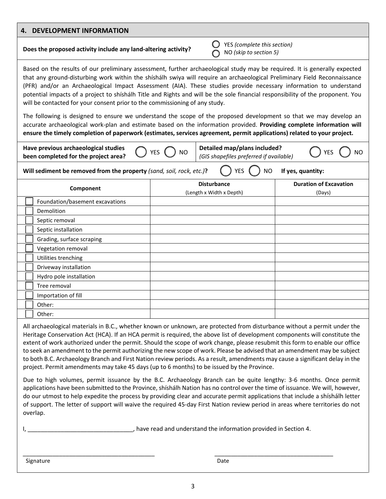| 4. DEVELOPMENT INFORMATION                                                                                                                                                                                                                                                                                                                                                                                                                                                                                                                                                                                                                                                                                                                                                                                                                                                                                                                                                                                                                                                                                                                                                                                                                                                             |                                                |                                         |  |  |  |
|----------------------------------------------------------------------------------------------------------------------------------------------------------------------------------------------------------------------------------------------------------------------------------------------------------------------------------------------------------------------------------------------------------------------------------------------------------------------------------------------------------------------------------------------------------------------------------------------------------------------------------------------------------------------------------------------------------------------------------------------------------------------------------------------------------------------------------------------------------------------------------------------------------------------------------------------------------------------------------------------------------------------------------------------------------------------------------------------------------------------------------------------------------------------------------------------------------------------------------------------------------------------------------------|------------------------------------------------|-----------------------------------------|--|--|--|
| Does the proposed activity include any land-altering activity?                                                                                                                                                                                                                                                                                                                                                                                                                                                                                                                                                                                                                                                                                                                                                                                                                                                                                                                                                                                                                                                                                                                                                                                                                         | NO (skip to section 5)                         | YES (complete this section)             |  |  |  |
| Based on the results of our preliminary assessment, further archaeological study may be required. It is generally expected<br>that any ground-disturbing work within the shishalh swiya will require an archaeological Preliminary Field Reconnaissance<br>(PFR) and/or an Archaeological Impact Assessment (AIA). These studies provide necessary information to understand<br>potential impacts of a project to shíshálh Title and Rights and will be the sole financial responsibility of the proponent. You<br>will be contacted for your consent prior to the commissioning of any study.<br>The following is designed to ensure we understand the scope of the proposed development so that we may develop an<br>accurate archaeological work-plan and estimate based on the information provided. Providing complete information will<br>ensure the timely completion of paperwork (estimates, services agreement, permit applications) related to your project.                                                                                                                                                                                                                                                                                                                |                                                |                                         |  |  |  |
| Have previous archaeological studies<br>Detailed map/plans included?<br><b>YES</b><br><b>NO</b><br><b>NO</b><br>been completed for the project area?<br>(GIS shapefiles preferred if available)                                                                                                                                                                                                                                                                                                                                                                                                                                                                                                                                                                                                                                                                                                                                                                                                                                                                                                                                                                                                                                                                                        |                                                |                                         |  |  |  |
| Will sediment be removed from the property (sand, soil, rock, etc.)?                                                                                                                                                                                                                                                                                                                                                                                                                                                                                                                                                                                                                                                                                                                                                                                                                                                                                                                                                                                                                                                                                                                                                                                                                   | YES                                            | If yes, quantity:<br><b>NO</b>          |  |  |  |
| Component                                                                                                                                                                                                                                                                                                                                                                                                                                                                                                                                                                                                                                                                                                                                                                                                                                                                                                                                                                                                                                                                                                                                                                                                                                                                              | <b>Disturbance</b><br>(Length x Width x Depth) | <b>Duration of Excavation</b><br>(Days) |  |  |  |
| Foundation/basement excavations                                                                                                                                                                                                                                                                                                                                                                                                                                                                                                                                                                                                                                                                                                                                                                                                                                                                                                                                                                                                                                                                                                                                                                                                                                                        |                                                |                                         |  |  |  |
| Demolition                                                                                                                                                                                                                                                                                                                                                                                                                                                                                                                                                                                                                                                                                                                                                                                                                                                                                                                                                                                                                                                                                                                                                                                                                                                                             |                                                |                                         |  |  |  |
| Septic removal                                                                                                                                                                                                                                                                                                                                                                                                                                                                                                                                                                                                                                                                                                                                                                                                                                                                                                                                                                                                                                                                                                                                                                                                                                                                         |                                                |                                         |  |  |  |
| Septic installation                                                                                                                                                                                                                                                                                                                                                                                                                                                                                                                                                                                                                                                                                                                                                                                                                                                                                                                                                                                                                                                                                                                                                                                                                                                                    |                                                |                                         |  |  |  |
| Grading, surface scraping                                                                                                                                                                                                                                                                                                                                                                                                                                                                                                                                                                                                                                                                                                                                                                                                                                                                                                                                                                                                                                                                                                                                                                                                                                                              |                                                |                                         |  |  |  |
| Vegetation removal                                                                                                                                                                                                                                                                                                                                                                                                                                                                                                                                                                                                                                                                                                                                                                                                                                                                                                                                                                                                                                                                                                                                                                                                                                                                     |                                                |                                         |  |  |  |
| Utilities trenching                                                                                                                                                                                                                                                                                                                                                                                                                                                                                                                                                                                                                                                                                                                                                                                                                                                                                                                                                                                                                                                                                                                                                                                                                                                                    |                                                |                                         |  |  |  |
| Driveway installation                                                                                                                                                                                                                                                                                                                                                                                                                                                                                                                                                                                                                                                                                                                                                                                                                                                                                                                                                                                                                                                                                                                                                                                                                                                                  |                                                |                                         |  |  |  |
| Hydro pole installation                                                                                                                                                                                                                                                                                                                                                                                                                                                                                                                                                                                                                                                                                                                                                                                                                                                                                                                                                                                                                                                                                                                                                                                                                                                                |                                                |                                         |  |  |  |
| Tree removal                                                                                                                                                                                                                                                                                                                                                                                                                                                                                                                                                                                                                                                                                                                                                                                                                                                                                                                                                                                                                                                                                                                                                                                                                                                                           |                                                |                                         |  |  |  |
| Importation of fill                                                                                                                                                                                                                                                                                                                                                                                                                                                                                                                                                                                                                                                                                                                                                                                                                                                                                                                                                                                                                                                                                                                                                                                                                                                                    |                                                |                                         |  |  |  |
| Other:                                                                                                                                                                                                                                                                                                                                                                                                                                                                                                                                                                                                                                                                                                                                                                                                                                                                                                                                                                                                                                                                                                                                                                                                                                                                                 |                                                |                                         |  |  |  |
| Other:                                                                                                                                                                                                                                                                                                                                                                                                                                                                                                                                                                                                                                                                                                                                                                                                                                                                                                                                                                                                                                                                                                                                                                                                                                                                                 |                                                |                                         |  |  |  |
| All archaeological materials in B.C., whether known or unknown, are protected from disturbance without a permit under the<br>Heritage Conservation Act (HCA). If an HCA permit is required, the above list of development components will constitute the<br>extent of work authorized under the permit. Should the scope of work change, please resubmit this form to enable our office<br>to seek an amendment to the permit authorizing the new scope of work. Please be advised that an amendment may be subject<br>to both B.C. Archaeology Branch and First Nation review periods. As a result, amendments may cause a significant delay in the<br>project. Permit amendments may take 45 days (up to 6 months) to be issued by the Province.<br>Due to high volumes, permit issuance by the B.C. Archaeology Branch can be quite lengthy: 3-6 months. Once permit<br>applications have been submitted to the Province, shishalh Nation has no control over the time of issuance. We will, however,<br>do our utmost to help expedite the process by providing clear and accurate permit applications that include a shíshálh letter<br>of support. The letter of support will waive the required 45-day First Nation review period in areas where territories do not<br>overlap. |                                                |                                         |  |  |  |

Signature Date Date Date Date Date Date Date

\_\_\_\_\_\_\_\_\_\_\_\_\_\_\_\_\_\_\_\_\_\_\_\_\_\_\_\_\_\_\_\_\_\_\_\_\_\_\_\_ \_\_\_\_\_\_\_\_\_\_\_\_\_\_\_\_\_\_\_\_\_\_\_\_\_\_\_\_\_\_\_\_\_\_\_\_